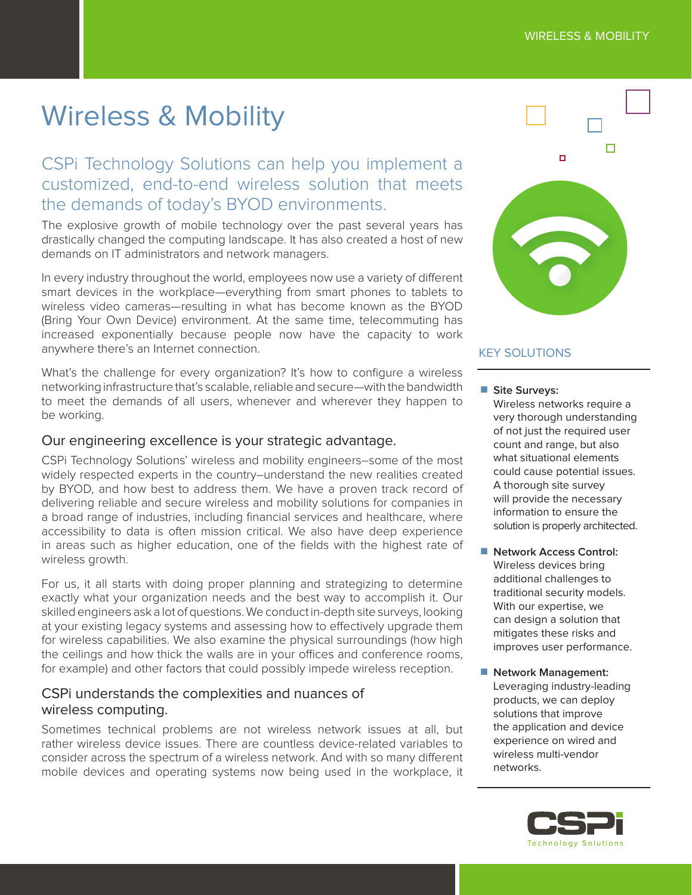# Wireless & Mobility

CSPi Technology Solutions can help you implement a customized, end-to-end wireless solution that meets the demands of today's BYOD environments.

The explosive growth of mobile technology over the past several years has drastically changed the computing landscape. It has also created a host of new demands on IT administrators and network managers.

In every industry throughout the world, employees now use a variety of diferent smart devices in the workplace—everything from smart phones to tablets to wireless video cameras—resulting in what has become known as the BYOD (Bring Your Own Device) environment. At the same time, telecommuting has increased exponentially because people now have the capacity to work anywhere there's an Internet connection.

What's the challenge for every organization? It's how to configure a wireless networking infrastructure that's scalable, reliable and secure—with the bandwidth to meet the demands of all users, whenever and wherever they happen to be working.

## Our engineering excellence is your strategic advantage.

CSPi Technology Solutions' wireless and mobility engineers–some of the most widely respected experts in the country–understand the new realities created by BYOD, and how best to address them. We have a proven track record of delivering reliable and secure wireless and mobility solutions for companies in a broad range of industries, including financial services and healthcare, where accessibility to data is often mission critical. We also have deep experience in areas such as higher education, one of the fields with the highest rate of wireless growth.

For us, it all starts with doing proper planning and strategizing to determine exactly what your organization needs and the best way to accomplish it. Our skilled engineers ask a lot of questions. We conduct in-depth site surveys, looking at your existing legacy systems and assessing how to efectively upgrade them for wireless capabilities. We also examine the physical surroundings (how high the ceilings and how thick the walls are in your offices and conference rooms, for example) and other factors that could possibly impede wireless reception.

# CSPi understands the complexities and nuances of wireless computing.

Sometimes technical problems are not wireless network issues at all, but rather wireless device issues. There are countless device-related variables to consider across the spectrum of a wireless network. And with so many diferent mobile devices and operating systems now being used in the workplace, it



## KEY SOLUTIONS

■ Site Surveys:

Wireless networks require a very thorough understanding of not just the required user count and range, but also what situational elements could cause potential issues. A thorough site survey will provide the necessary information to ensure the solution is properly architected.

- Network Access Control: Wireless devices bring additional challenges to traditional security models. With our expertise, we can design a solution that mitigates these risks and improves user performance.
- Network Management: Leveraging industry-leading products, we can deploy solutions that improve the application and device experience on wired and wireless multi-vendor networks.